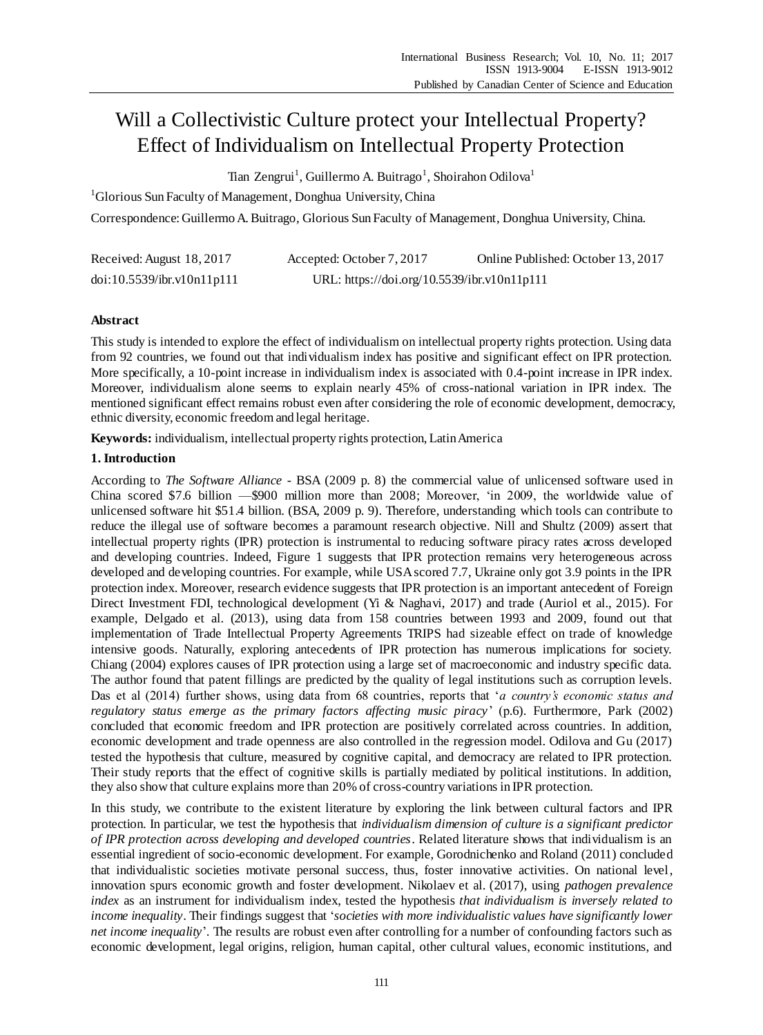# Will a Collectivistic Culture protect your Intellectual Property? Effect of Individualism on Intellectual Property Protection

Tian Zengrui<sup>1</sup>, Guillermo A. Buitrago<sup>1</sup>, Shoirahon Odilova<sup>1</sup>

<sup>1</sup>Glorious Sun Faculty of Management, Donghua University, China

Correspondence:Guillermo A. Buitrago, Glorious Sun Faculty of Management, Donghua University, China.

| Received: August 18, 2017  | Accepted: October 7, 2017                   | Online Published: October 13, 2017 |
|----------------------------|---------------------------------------------|------------------------------------|
| doi:10.5539/ibr.v10n11p111 | URL: https://doi.org/10.5539/ibr.v10n11p111 |                                    |

# **Abstract**

This study is intended to explore the effect of individualism on intellectual property rights protection. Using data from 92 countries, we found out that individualism index has positive and significant effect on IPR protection. More specifically, a 10-point increase in individualism index is associated with 0.4-point increase in IPR index. Moreover, individualism alone seems to explain nearly 45% of cross-national variation in IPR index. The mentioned significant effect remains robust even after considering the role of economic development, democracy, ethnic diversity, economic freedom and legal heritage.

**Keywords:** individualism, intellectual property rights protection, Latin America

# **1. Introduction**

According to *The Software Alliance* - BSA (2009 p. 8) the commercial value of unlicensed software used in China scored \$7.6 billion —\$900 million more than 2008; Moreover, 'in 2009, the worldwide value of unlicensed software hit \$51.4 billion. (BSA, 2009 p. 9). Therefore, understanding which tools can contribute to reduce the illegal use of software becomes a paramount research objective. Nill and Shultz (2009) assert that intellectual property rights (IPR) protection is instrumental to reducing software piracy rates across developed and developing countries. Indeed, Figure 1 suggests that IPR protection remains very heterogeneous across developed and developing countries. For example, while USA scored 7.7, Ukraine only got 3.9 points in the IPR protection index. Moreover, research evidence suggests that IPR protection is an important antecedent of Foreign Direct Investment FDI, technological development (Yi & Naghavi, 2017) and trade (Auriol et al., 2015). For example, Delgado et al. (2013), using data from 158 countries between 1993 and 2009, found out that implementation of Trade Intellectual Property Agreements TRIPS had sizeable effect on trade of knowledge intensive goods. Naturally, exploring antecedents of IPR protection has numerous implications for society. Chiang (2004) explores causes of IPR protection using a large set of macroeconomic and industry specific data. The author found that patent fillings are predicted by the quality of legal institutions such as corruption levels. Das et al (2014) further shows, using data from 68 countries, reports that '*a country's economic status and regulatory status emerge as the primary factors affecting music piracy*' (p.6). Furthermore, Park (2002) concluded that economic freedom and IPR protection are positively correlated across countries. In addition, economic development and trade openness are also controlled in the regression model. Odilova and Gu (2017) tested the hypothesis that culture, measured by cognitive capital, and democracy are related to IPR protection. Their study reports that the effect of cognitive skills is partially mediated by political institutions. In addition, they also show that culture explains more than 20% of cross-country variations in IPR protection.

In this study, we contribute to the existent literature by exploring the link between cultural factors and IPR protection. In particular, we test the hypothesis that *individualism dimension of culture is a significant predictor of IPR protection across developing and developed countries*. Related literature shows that individualism is an essential ingredient of socio-economic development. For example, Gorodnichenko and Roland (2011) concluded that individualistic societies motivate personal success, thus, foster innovative activities. On national level, innovation spurs economic growth and foster development. Nikolaev et al. (2017), using *pathogen prevalence index* as an instrument for individualism index, tested the hypothesis *that individualism is inversely related to income inequality*. Their findings suggest that '*societies with more individualistic values have significantly lower net income inequality*'. The results are robust even after controlling for a number of confounding factors such as economic development, legal origins, religion, human capital, other cultural values, economic institutions, and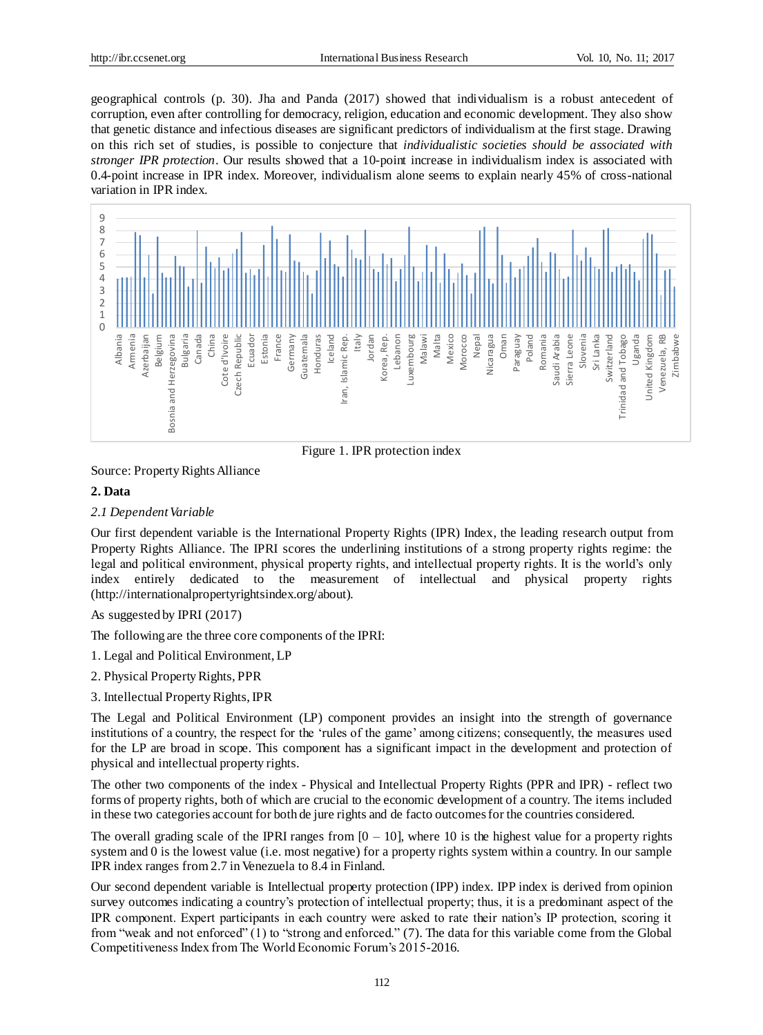geographical controls (p. 30). Jha and Panda (2017) showed that individualism is a robust antecedent of corruption, even after controlling for democracy, religion, education and economic development. They also show that genetic distance and infectious diseases are significant predictors of individualism at the first stage. Drawing on this rich set of studies, is possible to conjecture that *individualistic societies should be associated with stronger IPR protection*. Our results showed that a 10-point increase in individualism index is associated with 0.4-point increase in IPR index. Moreover, individualism alone seems to explain nearly 45% of cross-national variation in IPR index.



Figure 1. IPR protection index

Source: Property Rights Alliance

## **2. Data**

#### *2.1 Dependent Variable*

Our first dependent variable is the International Property Rights (IPR) Index, the leading research output from Property Rights Alliance. The IPRI scores the underlining institutions of a strong property rights regime: the legal and political environment, physical property rights, and intellectual property rights. It is the world's only index entirely dedicated to the measurement of intellectual and physical property rights [\(http://internationalpropertyrightsindex.org/about](http://internationalpropertyrightsindex.org/)).

As suggested by IPRI (2017)

The following are the three core components of the IPRI:

- 1. Legal and Political Environment, LP
- 2. Physical Property Rights, PPR
- 3. Intellectual Property Rights, IPR

The Legal and Political Environment (LP) component provides an insight into the strength of governance institutions of a country, the respect for the 'rules of the game' among citizens; consequently, the measures used for the LP are broad in scope. This component has a significant impact in the development and protection of physical and intellectual property rights.

The other two components of the index - Physical and Intellectual Property Rights (PPR and IPR) - reflect two forms of property rights, both of which are crucial to the economic development of a country. The items included in these two categories account for both de jure rights and de facto outcomes for the countries considered.

The overall grading scale of the IPRI ranges from  $[0 - 10]$ , where 10 is the highest value for a property rights system and 0 is the lowest value (i.e. most negative) for a property rights system within a country. In our sample IPR index ranges from 2.7 in Venezuela to 8.4 in Finland.

Our second dependent variable is Intellectual property protection (IPP) index. IPP index is derived from opinion survey outcomes indicating a country's protection of intellectual property; thus, it is a predominant aspect of the IPR component. Expert participants in each country were asked to rate their nation's IP protection, scoring it from "weak and not enforced" (1) to "strong and enforced." (7). The data for this variable come from the Global Competitiveness Index from The World Economic Forum's 2015-2016.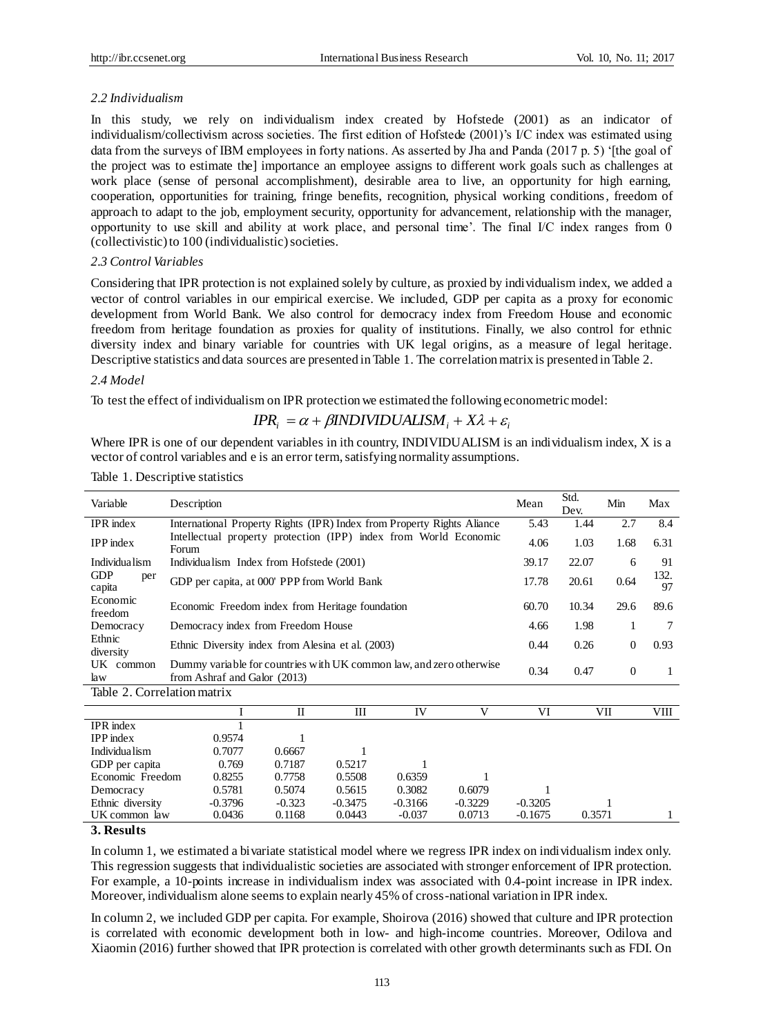## *2.2 Individualism*

In this study, we rely on individualism index created by Hofstede (2001) as an indicator of individualism/collectivism across societies. The first edition of Hofstede (2001)'s I/C index was estimated using data from the surveys of IBM employees in forty nations. As asserted by Jha and Panda (2017 p. 5) '[the goal of the project was to estimate the] importance an employee assigns to different work goals such as challenges at work place (sense of personal accomplishment), desirable area to live, an opportunity for high earning, cooperation, opportunities for training, fringe benefits, recognition, physical working conditions, freedom of approach to adapt to the job, employment security, opportunity for advancement, relationship with the manager, opportunity to use skill and ability at work place, and personal time'. The final I/C index ranges from 0 (collectivistic) to 100 (individualistic) societies.

#### *2.3 Control Variables*

Considering that IPR protection is not explained solely by culture, as proxied by individualism index, we added a vector of control variables in our empirical exercise. We included, GDP per capita as a proxy for economic development from World Bank. We also control for democracy index from Freedom House and economic freedom from heritage foundation as proxies for quality of institutions. Finally, we also control for ethnic diversity index and binary variable for countries with UK legal origins, as a measure of legal heritage. Descriptive statistics and data sources are presented in Table 1. The correlation matrix is presented in Table 2.

#### *2.4 Model*

To test the effect of individualism on IPR protection we estimated the following econometric model:

# $IPR_i = \alpha + \beta INDIVIDUALISM_i + X\lambda + \varepsilon_i$

Where IPR is one of our dependent variables in ith country, INDIVIDUALISM is an individualism index, X is a vector of control variables and e is an error term, satisfying normality assumptions.

| Variable                    | Description                                                                                         |                                             |                                          |        | Mean                                                             | Std.<br>Dev. | Min   | Max      |      |            |
|-----------------------------|-----------------------------------------------------------------------------------------------------|---------------------------------------------|------------------------------------------|--------|------------------------------------------------------------------|--------------|-------|----------|------|------------|
| <b>IPR</b> index            | International Property Rights (IPR) Index from Property Rights Aliance                              |                                             |                                          |        |                                                                  | 5.43         | 1.44  | 2.7      | 8.4  |            |
| $IPP$ index                 | Forum                                                                                               |                                             |                                          |        | Intellectual property protection (IPP) index from World Economic |              | 4.06  | 1.03     | 1.68 | 6.31       |
| Individua lism              |                                                                                                     |                                             | Individualism Index from Hofstede (2001) |        |                                                                  |              | 39.17 | 22.07    | 6    | 91         |
| GDP<br>per<br>capita        |                                                                                                     | GDP per capita, at 000' PPP from World Bank |                                          |        |                                                                  |              | 17.78 | 20.61    | 0.64 | 132.<br>97 |
| Economic<br>freedom         | Economic Freedom index from Heritage foundation                                                     |                                             |                                          |        |                                                                  |              | 60.70 | 10.34    | 29.6 | 89.6       |
| Democracy                   | Democracy index from Freedom House                                                                  |                                             |                                          |        |                                                                  |              | 4.66  | 1.98     | 1    | 7          |
| Ethnic<br>diversity         | Ethnic Diversity index from Alesina et al. (2003)                                                   |                                             |                                          |        |                                                                  | 0.44         | 0.26  | $\theta$ | 0.93 |            |
| UK common<br>law            | Dummy variable for countries with UK common law, and zero otherwise<br>from Ashraf and Galor (2013) |                                             |                                          |        |                                                                  | 0.34         | 0.47  | $\Omega$ | 1    |            |
| Table 2. Correlation matrix |                                                                                                     |                                             |                                          |        |                                                                  |              |       |          |      |            |
|                             |                                                                                                     |                                             | H                                        | Ш      | IV                                                               | V            | VI    |          | VII  | VIII       |
| <b>IPR</b> index            |                                                                                                     |                                             |                                          |        |                                                                  |              |       |          |      |            |
| <b>IPP</b> index            |                                                                                                     | 0.9574                                      |                                          |        |                                                                  |              |       |          |      |            |
| Individua lism              |                                                                                                     | 0.7077                                      | 0.6667                                   |        |                                                                  |              |       |          |      |            |
| GDP per capita              |                                                                                                     | 0.769                                       | 0.7187                                   | 0.5217 |                                                                  |              |       |          |      |            |
| Economic Freedom            |                                                                                                     | 0.8255                                      | 0.7758                                   | 0.5508 | 0.6359                                                           |              |       |          |      |            |
| Democracy                   |                                                                                                     | 0.5781                                      | 0.5074                                   | 0.5615 | 0.3082                                                           | 0.6079       | 1     |          |      |            |

Table 1. Descriptive statistics

#### **3. Results**

In column 1, we estimated a bivariate statistical model where we regress IPR index on individualism index only. This regression suggests that individualistic societies are associated with stronger enforcement of IPR protection. For example, a 10-points increase in individualism index was associated with 0.4-point increase in IPR index. Moreover, individualism alone seems to explain nearly 45% of cross-national variation in IPR index.

UK common law  $0.0436$   $0.1168$   $0.0443$   $0.037$   $0.0713$   $0.1675$   $0.3571$  1

Ethnic diversity -0.3796 -0.323 -0.3475 -0.3166 -0.3229 -0.3205 1<br>UK common law 0.0436 0.1168 0.0443 -0.037 0.0713 -0.1675 0.3571

In column 2, we included GDP per capita. For example, Shoirova (2016) showed that culture and IPR protection is correlated with economic development both in low- and high-income countries. Moreover, Odilova and Xiaomin (2016) further showed that IPR protection is correlated with other growth determinants such as FDI. On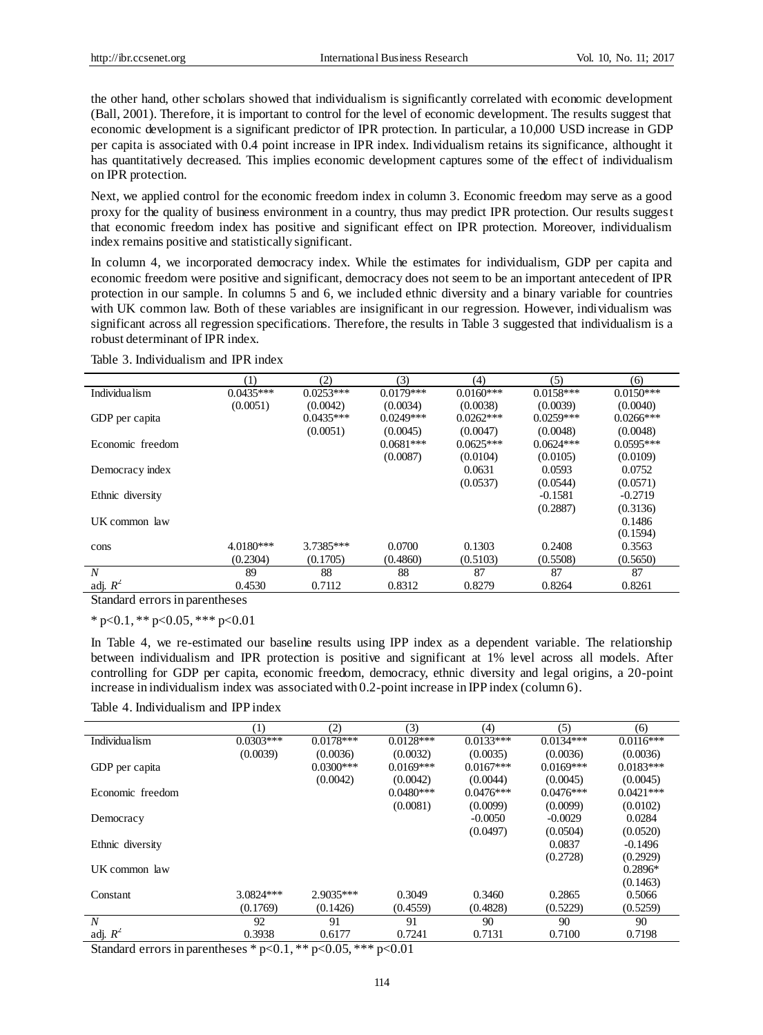the other hand, other scholars showed that individualism is significantly correlated with economic development (Ball, 2001). Therefore, it is important to control for the level of economic development. The results suggest that economic development is a significant predictor of IPR protection. In particular, a 10,000 USD increase in GDP per capita is associated with 0.4 point increase in IPR index. Individualism retains its significance, althought it has quantitatively decreased. This implies economic development captures some of the effect of individualism on IPR protection.

Next, we applied control for the economic freedom index in column 3. Economic freedom may serve as a good proxy for the quality of business environment in a country, thus may predict IPR protection. Our results suggest that economic freedom index has positive and significant effect on IPR protection. Moreover, individualism index remains positive and statistically significant.

In column 4, we incorporated democracy index. While the estimates for individualism, GDP per capita and economic freedom were positive and significant, democracy does not seem to be an important antecedent of IPR protection in our sample. In columns 5 and 6, we included ethnic diversity and a binary variable for countries with UK common law. Both of these variables are insignificant in our regression. However, individualism was significant across all regression specifications. Therefore, the results in Table 3 suggested that individualism is a robust determinant of IPR index.

|                                | (1)         | (2)         | (3)         | (4)         | (5)         | (6)         |
|--------------------------------|-------------|-------------|-------------|-------------|-------------|-------------|
| Individua lism                 | $0.0435***$ | $0.0253***$ | $0.0179***$ | $0.0160***$ | $0.0158***$ | $0.0150***$ |
|                                | (0.0051)    | (0.0042)    | (0.0034)    | (0.0038)    | (0.0039)    | (0.0040)    |
| GDP per capita                 |             | $0.0435***$ | $0.0249***$ | $0.0262***$ | $0.0259***$ | $0.0266***$ |
|                                |             | (0.0051)    | (0.0045)    | (0.0047)    | (0.0048)    | (0.0048)    |
| Economic freedom               |             |             | $0.0681***$ | $0.0625***$ | $0.0624***$ | $0.0595***$ |
|                                |             |             | (0.0087)    | (0.0104)    | (0.0105)    | (0.0109)    |
| Democracy index                |             |             |             | 0.0631      | 0.0593      | 0.0752      |
|                                |             |             |             | (0.0537)    | (0.0544)    | (0.0571)    |
| Ethnic diversity               |             |             |             |             | $-0.1581$   | $-0.2719$   |
|                                |             |             |             |             | (0.2887)    | (0.3136)    |
| UK common law                  |             |             |             |             |             | 0.1486      |
|                                |             |             |             |             |             | (0.1594)    |
| cons                           | $4.0180***$ | 3.7385***   | 0.0700      | 0.1303      | 0.2408      | 0.3563      |
|                                | (0.2304)    | (0.1705)    | (0.4860)    | (0.5103)    | (0.5508)    | (0.5650)    |
| $\boldsymbol{N}$               | 89          | 88          | 88          | 87          | 87          | 87          |
| adj. $R^2$                     | 0.4530      | 0.7112      | 0.8312      | 0.8279      | 0.8264      | 0.8261      |
| Standard errors in parentheses |             |             |             |             |             |             |

Table 3. Individualism and IPR index

 $*$  p<0.1,  $*$  p<0.05,  $*$  \*\* p<0.01

In Table 4, we re-estimated our baseline results using IPP index as a dependent variable. The relationship between individualism and IPR protection is positive and significant at 1% level across all models. After controlling for GDP per capita, economic freedom, democracy, ethnic diversity and legal origins, a 20-point increase in individualism index was associated with 0.2-point increase in IPP index (column 6).

Table 4. Individualism and IPP index

|                  | (1)         | (2)         | (3)         | (4)         | (5)         | (6)         |
|------------------|-------------|-------------|-------------|-------------|-------------|-------------|
| Individualism    | $0.0303***$ | $0.0178***$ | $0.0128***$ | $0.0133***$ | $0.0134***$ | $0.0116***$ |
|                  | (0.0039)    | (0.0036)    | (0.0032)    | (0.0035)    | (0.0036)    | (0.0036)    |
| GDP per capita   |             | $0.0300***$ | $0.0169***$ | $0.0167***$ | $0.0169***$ | $0.0183***$ |
|                  |             | (0.0042)    | (0.0042)    | (0.0044)    | (0.0045)    | (0.0045)    |
| Economic freedom |             |             | $0.0480***$ | $0.0476***$ | $0.0476***$ | $0.0421***$ |
|                  |             |             | (0.0081)    | (0.0099)    | (0.0099)    | (0.0102)    |
| Democracy        |             |             |             | $-0.0050$   | $-0.0029$   | 0.0284      |
|                  |             |             |             | (0.0497)    | (0.0504)    | (0.0520)    |
| Ethnic diversity |             |             |             |             | 0.0837      | $-0.1496$   |
|                  |             |             |             |             | (0.2728)    | (0.2929)    |
| UK common law    |             |             |             |             |             | $0.2896*$   |
|                  |             |             |             |             |             | (0.1463)    |
| Constant         | $3.0824***$ | $2.9035***$ | 0.3049      | 0.3460      | 0.2865      | 0.5066      |
|                  | (0.1769)    | (0.1426)    | (0.4559)    | (0.4828)    | (0.5229)    | (0.5259)    |
| $\boldsymbol{N}$ | 92          | 91          | 91          | 90          | 90          | 90          |
| adj. $R^2$       | 0.3938      | 0.6177      | 0.7241      | 0.7131      | 0.7100      | 0.7198      |

Standard errors in parentheses \* p<0.1, \*\* p<0.05, \*\*\* p<0.01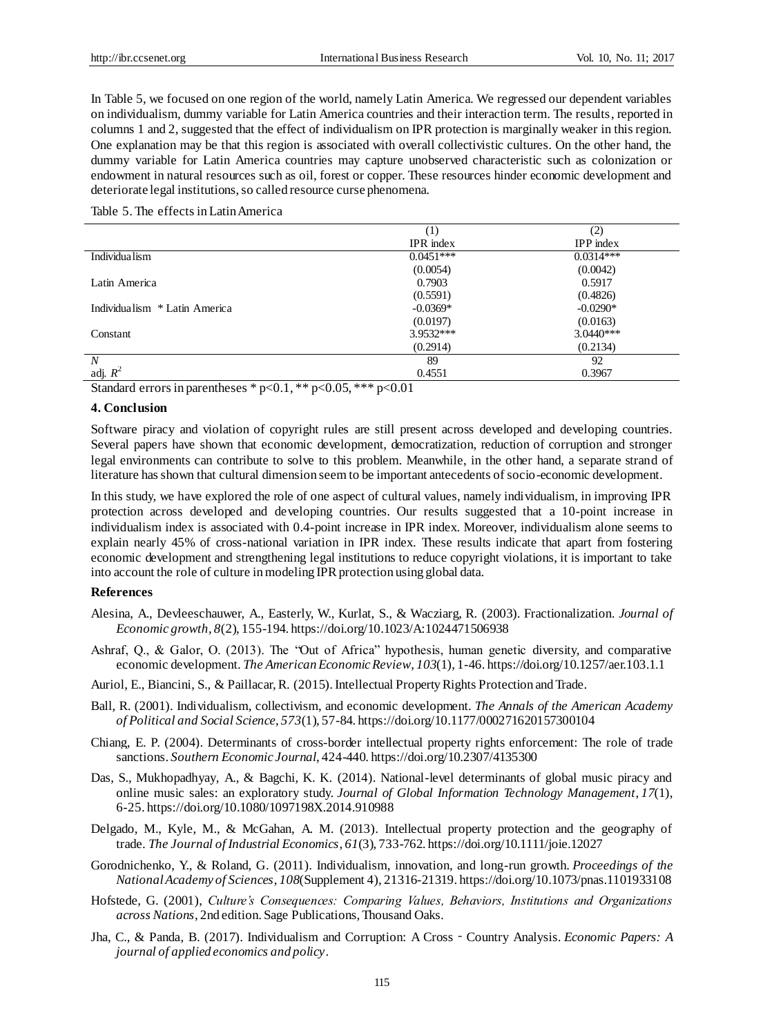In Table 5, we focused on one region of the world, namely Latin America. We regressed our dependent variables on individualism, dummy variable for Latin America countries and their interaction term. The results, reported in columns 1 and 2, suggested that the effect of individualism on IPR protection is marginally weaker in this region. One explanation may be that this region is associated with overall collectivistic cultures. On the other hand, the dummy variable for Latin America countries may capture unobserved characteristic such as colonization or endowment in natural resources such as oil, forest or copper. These resources hinder economic development and deteriorate legal institutions, so called resource curse phenomena.

#### Table 5. The effects in Latin America

|                               | (1)              | (2)         |
|-------------------------------|------------------|-------------|
|                               | <b>IPR</b> index | $IPP$ index |
| Individua lism                | $0.0451***$      | $0.0314***$ |
|                               | (0.0054)         | (0.0042)    |
| Latin America                 | 0.7903           | 0.5917      |
|                               | (0.5591)         | (0.4826)    |
| Individualism * Latin America | $-0.0369*$       | $-0.0290*$  |
|                               | (0.0197)         | (0.0163)    |
| Constant                      | 3.9532***        | $3.0440***$ |
|                               | (0.2914)         | (0.2134)    |
| $\boldsymbol{N}$              | 89               | 92          |
| adj. $R^2$                    | 0.4551           | 0.3967      |

Standard errors in parentheses \* p<0.1, \*\* p<0.05, \*\*\* p<0.01

#### **4. Conclusion**

Software piracy and violation of copyright rules are still present across developed and developing countries. Several papers have shown that economic development, democratization, reduction of corruption and stronger legal environments can contribute to solve to this problem. Meanwhile, in the other hand, a separate strand of literature has shown that cultural dimension seem to be important antecedents of socio-economic development.

In this study, we have explored the role of one aspect of cultural values, namely individualism, in improving IPR protection across developed and developing countries. Our results suggested that a 10-point increase in individualism index is associated with 0.4-point increase in IPR index. Moreover, individualism alone seems to explain nearly 45% of cross-national variation in IPR index. These results indicate that apart from fostering economic development and strengthening legal institutions to reduce copyright violations, it is important to take into account the role of culture in modeling IPR protection using global data.

#### **References**

- Alesina, A., Devleeschauwer, A., Easterly, W., Kurlat, S., & Wacziarg, R. (2003). Fractionalization. *Journal of Economic growth*, *8*(2), 155-194. https://doi.org/10.1023/A:1024471506938
- Ashraf, Q., & Galor, O. (2013). The "Out of Africa" hypothesis, human genetic diversity, and comparative economic development. *The American Economic Review*, *103*(1), 1-46. https://doi.org/10.1257/aer.103.1.1
- Auriol, E., Biancini, S., & Paillacar, R. (2015). Intellectual Property Rights Protection and Trade.
- Ball, R. (2001). Individualism, collectivism, and economic development. *The Annals of the American Academy of Political and Social Science*, *573*(1), 57-84. https://doi.org/10.1177/000271620157300104
- Chiang, E. P. (2004). Determinants of cross-border intellectual property rights enforcement: The role of trade sanctions. *Southern Economic Journal*, 424-440. https://doi.org/10.2307/4135300
- Das, S., Mukhopadhyay, A., & Bagchi, K. K. (2014). National-level determinants of global music piracy and online music sales: an exploratory study. *Journal of Global Information Technology Management*, *17*(1), 6-25. https://doi.org/10.1080/1097198X.2014.910988
- Delgado, M., Kyle, M., & McGahan, A. M. (2013). Intellectual property protection and the geography of trade. *The Journal of Industrial Economics*, *61*(3), 733-762. https://doi.org/10.1111/joie.12027
- Gorodnichenko, Y., & Roland, G. (2011). Individualism, innovation, and long-run growth. *Proceedings of the National Academy of Sciences*, *108*(Supplement 4), 21316-21319. https://doi.org/10.1073/pnas.1101933108
- Hofstede, G. (2001), *Culture's Consequences: Comparing Values, Behaviors, Institutions and Organizations across Nations*, 2nd edition. Sage Publications, Thousand Oaks.
- Jha, C., & Panda, B. (2017). Individualism and Corruption: A Cross‐Country Analysis. *Economic Papers: A journal of applied economics and policy*.